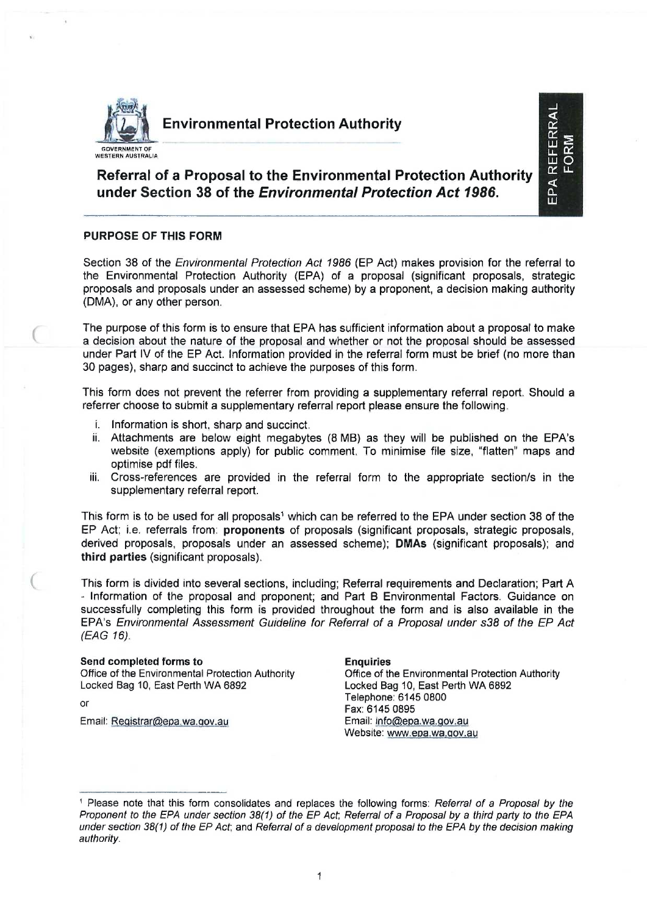

# Environmental Protection Authority

# Referral of a Proposal to the Environmental Protection Authority under Section 38 of the *Environmental Protection Act 1986.*

### **PURPOSE OF THIS FORM**

Section 38 of the *Environmental Protection Act 1986* (ER Act) makes provision for the referral to the Environmental Protection Authority (EPA) of a proposal (significant proposals, strategic proposals and proposals under an assessed scheme) by a proponent, a decision making authority (DMA), or any other person.

The purpose of this form is to ensure that EPA has sufficient information about a proposal to make a decision about the nature of the proposal and whether or not the proposal should be assessed under Part IV of the EP Act. Information provided in the referral form must be brief (no more than 30 pages), sharp and succinct to achieve the purposes of this form.

This form does not prevent the referrer from providing a supplementary referral report. Should a referrer choose to submit a supplementary referral report please ensure the following.

- i. Information is short, sharp and succinct.
- ii. Attachments are below eight megabytes (8 MB) as they will be published on the EPA's website (exemptions apply) for public comment. To minimise file size, "flatten" maps and optimise pdf files.
- iii. Cross-references are provided in the referral form to the appropriate section/s in the supplementary referral report.

This form is to be used for all proposals<sup>1</sup> which can be referred to the EPA under section 38 of the EP Act; i.e. referrals from: **proponents** of proposals (significant proposals, strategic proposals, derived proposals, proposals under an assessed scheme); **DMAs** (significant proposals); and **third parties** (significant proposals).

This form is divided into several sections, including; Referral requirements and Declaration; Part A - Information of the proposal and proponent; and Part B Environmental Factors. Guidance on successfully completing this form is provided throughout the form and is also available in the EPA's *Environmental Assessment Guideline for Referral of a Proposal under s38 of the EP Act (EAG 16).* 

### **Send completed forms to Enquiries**

Office of the Environmental Protection Authority **Office of the Environmental Protection Authority**<br>
Locked Bag 10, East Perth WA 6892<br>
Locked Bag 10, East Perth WA 6892 Locked Bag 10, East Perth WA 6892 Telephone: 6145 0800 or Fax: 6145 0895 Email: Reqistrar@epa.wa.qov.au Email: info@epa.wa.qov.au Website: www.epa.wa.qov.au

EPA REFERRAI FORM

<sup>1</sup>Please note that this form consolidates and replaces the following forms: *Referral of a Proposal by the Proponent to the EPA under section 38(1) of the EP Act, Referral of a Proposal by a third party to the EPA under section 38(1) of the EP Act,* and *Referral of a development proposal to the EPA by the decision making authority.*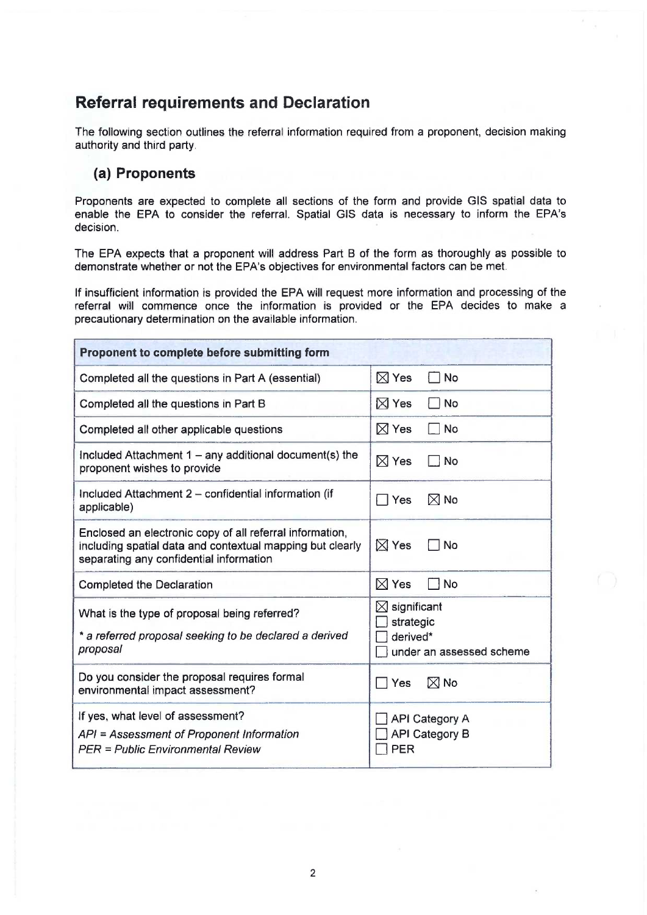# **Referral requirements and Declaration**

The following section outlines the referral information required from a proponent, decision making authority and third party.

## (a) Proponents

Proponents are expected to complete all sections of the form and provide GIS spatial data to enable the EPA to consider the referral. Spatial GIS data is necessary to inform the EPA's decision.

The EPA expects that a proponent will address Part B of the form as thoroughly as possible to demonstrate whether or not the EPA's objectives for environmental factors can be met.

If insufficient information is provided the EPA will request more information and processing of the referral will commence once the information is provided or the EPA decides to make a precautionary determination on the available information.

| Proponent to complete before submitting form                                                                                                                     |                                                                              |  |
|------------------------------------------------------------------------------------------------------------------------------------------------------------------|------------------------------------------------------------------------------|--|
| Completed all the questions in Part A (essential)                                                                                                                | $\boxtimes$ Yes<br>$\Box$ No                                                 |  |
| Completed all the questions in Part B                                                                                                                            | $\boxtimes$ Yes<br>No                                                        |  |
| Completed all other applicable questions                                                                                                                         | $\boxtimes$ Yes<br>$\neg$ No                                                 |  |
| Included Attachment $1 - any additional document(s)$ the<br>proponent wishes to provide                                                                          | $\boxtimes$ Yes<br>  No                                                      |  |
| Included Attachment 2 – confidential information (if<br>applicable)                                                                                              | $\boxtimes$ No<br>$\Box$ Yes                                                 |  |
| Enclosed an electronic copy of all referral information,<br>including spatial data and contextual mapping but clearly<br>separating any confidential information | $\boxtimes$ Yes<br>l No                                                      |  |
| <b>Completed the Declaration</b>                                                                                                                                 | $\boxtimes$ Yes<br>$\Box$ No                                                 |  |
| What is the type of proposal being referred?<br>* a referred proposal seeking to be declared a derived<br>proposal                                               | $\boxtimes$ significant<br>strategic<br>derived*<br>under an assessed scheme |  |
| Do you consider the proposal requires formal<br>environmental impact assessment?                                                                                 | $\boxtimes$ No<br>Yes                                                        |  |
| If yes, what level of assessment?<br>API = Assessment of Proponent Information<br>PER = Public Environmental Review                                              | <b>API Category A</b><br><b>API Category B</b><br>PER                        |  |